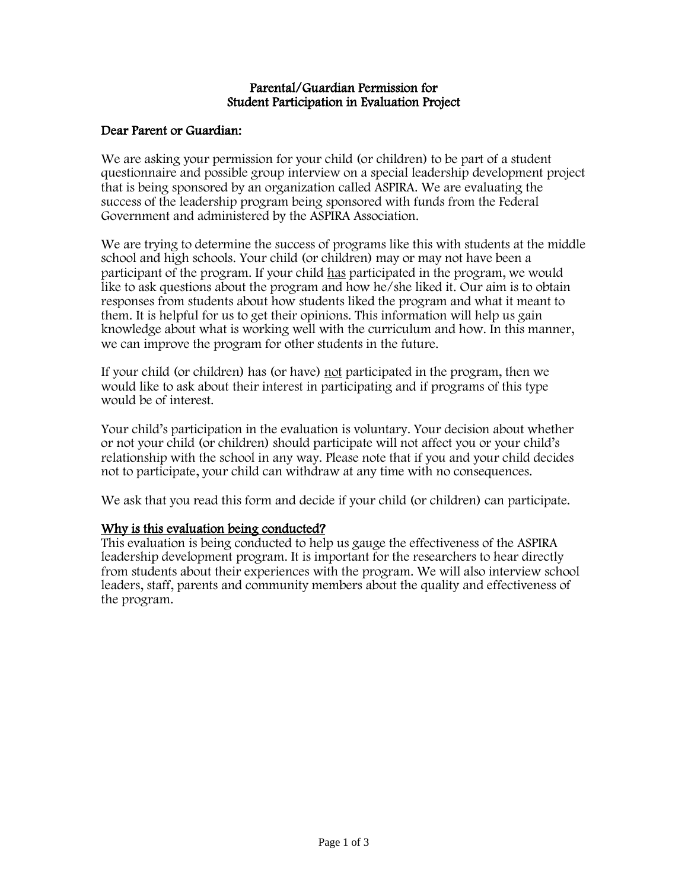#### Parental/Guardian Permission for Student Participation in Evaluation Project

## Dear Parent or Guardian:

We are asking your permission for your child (or children) to be part of a student questionnaire and possible group interview on a special leadership development project that is being sponsored by an organization called ASPIRA. We are evaluating the success of the leadership program being sponsored with funds from the Federal Government and administered by the ASPIRA Association.

We are trying to determine the success of programs like this with students at the middle school and high schools. Your child (or children) may or may not have been a participant of the program. If your child has participated in the program, we would like to ask questions about the program and how he/she liked it. Our aim is to obtain responses from students about how students liked the program and what it meant to them. It is helpful for us to get their opinions. This information will help us gain knowledge about what is working well with the curriculum and how. In this manner, we can improve the program for other students in the future.

If your child (or children) has (or have) not participated in the program, then we would like to ask about their interest in participating and if programs of this type would be of interest.

Your child's participation in the evaluation is voluntary. Your decision about whether or not your child (or children) should participate will not affect you or your child's relationship with the school in any way. Please note that if you and your child decides not to participate, your child can withdraw at any time with no consequences.

We ask that you read this form and decide if your child (or children) can participate.

# Why is this evaluation being conducted?

This evaluation is being conducted to help us gauge the effectiveness of the ASPIRA leadership development program. It is important for the researchers to hear directly from students about their experiences with the program. We will also interview school leaders, staff, parents and community members about the quality and effectiveness of the program.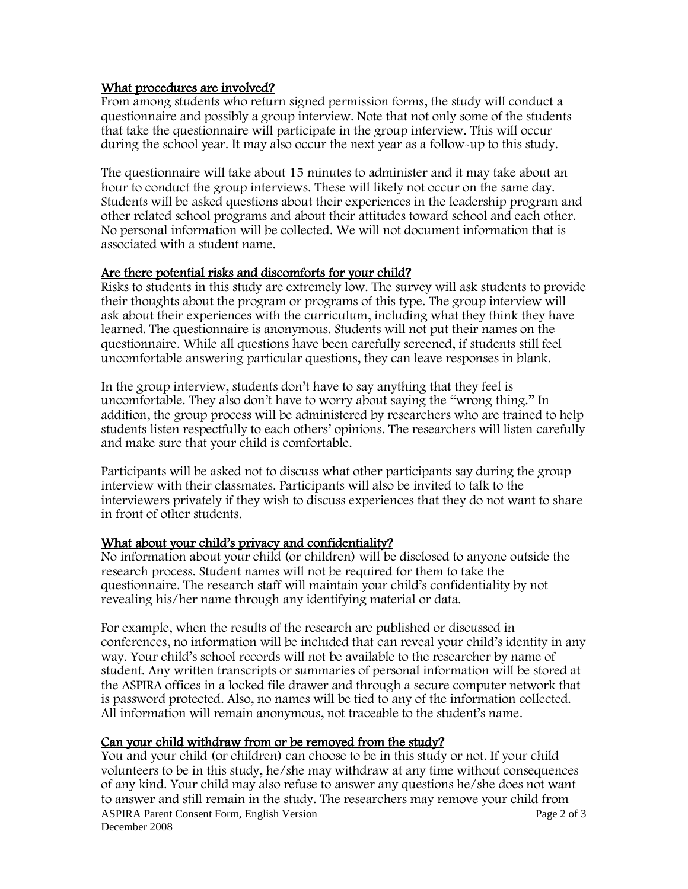### What procedures are involved?

From among students who return signed permission forms, the study will conduct a questionnaire and possibly a group interview. Note that not only some of the students that take the questionnaire will participate in the group interview. This will occur during the school year. It may also occur the next year as a follow-up to this study.

The questionnaire will take about 15 minutes to administer and it may take about an hour to conduct the group interviews. These will likely not occur on the same day. Students will be asked questions about their experiences in the leadership program and other related school programs and about their attitudes toward school and each other. No personal information will be collected. We will not document information that is associated with a student name.

### Are there potential risks and discomforts for your child?

Risks to students in this study are extremely low. The survey will ask students to provide their thoughts about the program or programs of this type. The group interview will ask about their experiences with the curriculum, including what they think they have learned. The questionnaire is anonymous. Students will not put their names on the questionnaire. While all questions have been carefully screened, if students still feel uncomfortable answering particular questions, they can leave responses in blank.

In the group interview, students don't have to say anything that they feel is uncomfortable. They also don't have to worry about saying the "wrong thing." In addition, the group process will be administered by researchers who are trained to help students listen respectfully to each others' opinions. The researchers will listen carefully and make sure that your child is comfortable.

Participants will be asked not to discuss what other participants say during the group interview with their classmates. Participants will also be invited to talk to the interviewers privately if they wish to discuss experiences that they do not want to share in front of other students.

# What about your child's privacy and confidentiality?

No information about your child (or children) will be disclosed to anyone outside the research process. Student names will not be required for them to take the questionnaire. The research staff will maintain your child's confidentiality by not revealing his/her name through any identifying material or data.

For example, when the results of the research are published or discussed in conferences, no information will be included that can reveal your child's identity in any way. Your child's school records will not be available to the researcher by name of student. Any written transcripts or summaries of personal information will be stored at the ASPIRA offices in a locked file drawer and through a secure computer network that is password protected. Also, no names will be tied to any of the information collected. All information will remain anonymous, not traceable to the student's name.

# Can your child withdraw from or be removed from the study?

ASPIRA Parent Consent Form, English Version Page 2 of 3 December 2008 You and your child (or children) can choose to be in this study or not. If your child volunteers to be in this study, he/she may withdraw at any time without consequences of any kind. Your child may also refuse to answer any questions he/she does not want to answer and still remain in the study. The researchers may remove your child from